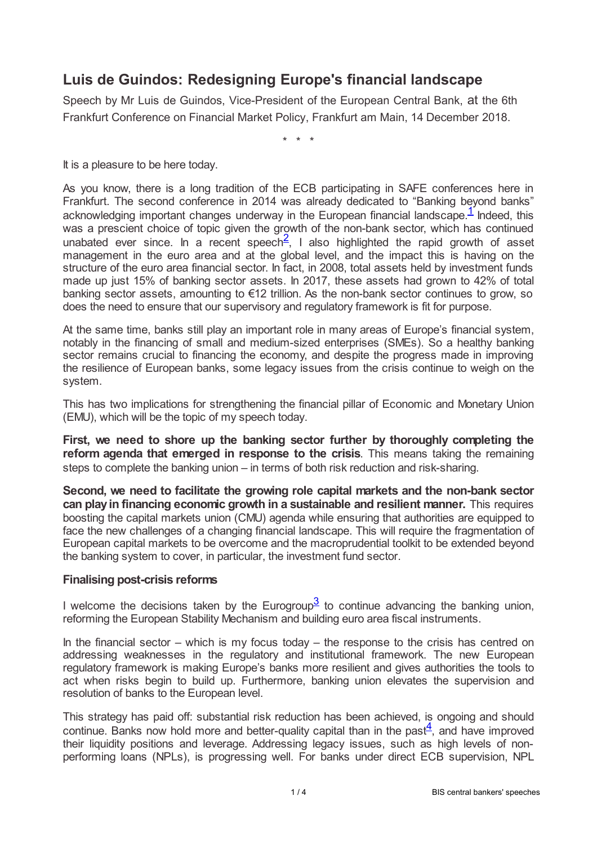## **Luis de Guindos: Redesigning Europe's financial landscape**

Speech by Mr Luis de Guindos, Vice-President of the European Central Bank, at the 6th Frankfurt Conference on Financial Market Policy, Frankfurt am Main, 14 December 2018.

<span id="page-0-1"></span><span id="page-0-0"></span>\* \* \*

It is a pleasure to be here today.

As you know, there is a long tradition of the ECB participating in SAFE conferences here in Frankfurt. The second conference in 2014 was already dedicated to "Banking beyond banks" acknowledging important changes underway in the European financial landscape[.](#page-3-0)<sup>1</sup> Indeed, this was a prescient choice of topic given the growth of the non-bank sector, which has continued unabated ever since. In a recent speech<sup>[2](#page-3-1)</sup>, I also highlighted the rapid growth of asset management in the euro area and at the global level, and the impact this is having on the structure of the euro area financial sector. In fact, in 2008, total assets held by investment funds made up just 15% of banking sector assets. In 2017, these assets had grown to 42% of total banking sector assets, amounting to €12 trillion. As the non-bank sector continues to grow, so does the need to ensure that our supervisory and regulatory framework is fit for purpose.

At the same time, banks still play an important role in many areas of Europe's financial system, notably in the financing of small and medium-sized enterprises (SMEs). So a healthy banking sector remains crucial to financing the economy, and despite the progress made in improving the resilience of European banks, some legacy issues from the crisis continue to weigh on the system.

This has two implications for strengthening the financial pillar of Economic and Monetary Union (EMU), which will be the topic of my speech today.

**First, we need to shore up the banking sector further by thoroughly completing the reform agenda that emerged in response to the crisis**. This means taking the remaining steps to complete the banking union – in terms of both risk reduction and risk-sharing.

**Second, we need to facilitate the growing role capital markets and the non-bank sector can play in financing economic growth in a sustainable and resilient manner.** This requires boosting the capital markets union (CMU) agenda while ensuring that authorities are equipped to face the new challenges of a changing financial landscape. This will require the fragmentation of European capital markets to be overcome and the macroprudential toolkit to be extended beyond the banking system to cover, in particular, the investment fund sector.

## **Finalising post-crisis reforms**

<span id="page-0-2"></span>I welcome the decisions taken by the Eurogroup $3$  to continue advancing the banking union, reforming the European Stability Mechanism and building euro area fiscal instruments.

In the financial sector – which is my focus today – the response to the crisis has centred on addressing weaknesses in the regulatory and institutional framework. The new European regulatory framework is making Europe's banks more resilient and gives authorities the tools to act when risks begin to build up. Furthermore, banking union elevates the supervision and resolution of banks to the European level.

<span id="page-0-3"></span>This strategy has paid off: substantial risk reduction has been achieved, is ongoing and should continue. Banks now hold more and better-quality capital than in the past $\frac{4}{1}$  $\frac{4}{1}$  $\frac{4}{1}$ , and have improved their liquidity positions and leverage. Addressing legacy issues, such as high levels of nonperforming loans (NPLs), is progressing well. For banks under direct ECB supervision, NPL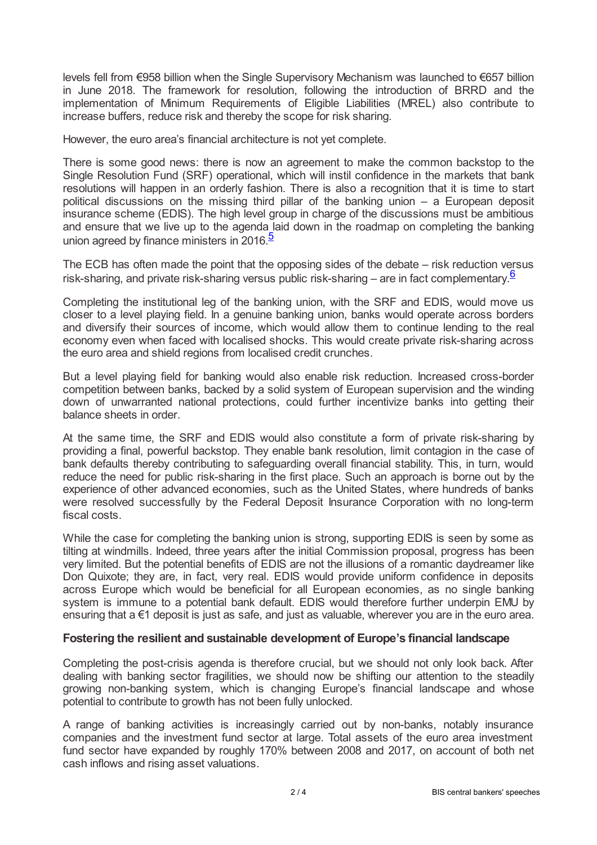levels fell from €958 billion when the Single Supervisory Mechanism was launched to €657 billion in June 2018. The framework for resolution, following the introduction of BRRD and the implementation of Minimum Requirements of Eligible Liabilities (MREL) also contribute to increase buffers, reduce risk and thereby the scope for risk sharing.

However, the euro area's financial architecture is not yet complete.

There is some good news: there is now an agreement to make the common backstop to the Single Resolution Fund (SRF) operational, which will instil confidence in the markets that bank resolutions will happen in an orderly fashion. There is also a recognition that it is time to start political discussions on the missing third pillar of the banking union – a European deposit insurance scheme (EDIS). The high level group in charge of the discussions must be ambitious and ensure that we live up to the agenda laid down in the roadmap on completing the banking union agreed by finance ministers in 2016.<sup>[5](#page-3-4)</sup>

<span id="page-1-1"></span><span id="page-1-0"></span>The ECB has often made the point that the opposing sides of the debate – risk reduction versus risk-sharing, and private risk-sharing versus public risk-sharing – are in fact complementary.<sup>[6](#page-3-5)</sup>

Completing the institutional leg of the banking union, with the SRF and EDIS, would move us closer to a level playing field. In a genuine banking union, banks would operate across borders and diversify their sources of income, which would allow them to continue lending to the real economy even when faced with localised shocks. This would create private risk-sharing across the euro area and shield regions from localised credit crunches.

But a level playing field for banking would also enable risk reduction. Increased cross-border competition between banks, backed by a solid system of European supervision and the winding down of unwarranted national protections, could further incentivize banks into getting their balance sheets in order.

At the same time, the SRF and EDIS would also constitute a form of private risk-sharing by providing a final, powerful backstop. They enable bank resolution, limit contagion in the case of bank defaults thereby contributing to safeguarding overall financial stability. This, in turn, would reduce the need for public risk-sharing in the first place. Such an approach is borne out by the experience of other advanced economies, such as the United States, where hundreds of banks were resolved successfully by the Federal Deposit Insurance Corporation with no long-term fiscal costs.

While the case for completing the banking union is strong, supporting EDIS is seen by some as tilting at windmills. Indeed, three years after the initial Commission proposal, progress has been very limited. But the potential benefits of EDIS are not the illusions of a romantic daydreamer like Don Quixote; they are, in fact, very real. EDIS would provide uniform confidence in deposits across Europe which would be beneficial for all European economies, as no single banking system is immune to a potential bank default. EDIS would therefore further underpin EMU by ensuring that a €1 deposit is just as safe, and just as valuable, wherever you are in the euro area.

## **Fostering the resilient and sustainable development of Europe's financial landscape**

Completing the post-crisis agenda is therefore crucial, but we should not only look back. After dealing with banking sector fragilities, we should now be shifting our attention to the steadily growing non-banking system, which is changing Europe's financial landscape and whose potential to contribute to growth has not been fully unlocked.

A range of banking activities is increasingly carried out by non-banks, notably insurance companies and the investment fund sector at large. Total assets of the euro area investment fund sector have expanded by roughly 170% between 2008 and 2017, on account of both net cash inflows and rising asset valuations.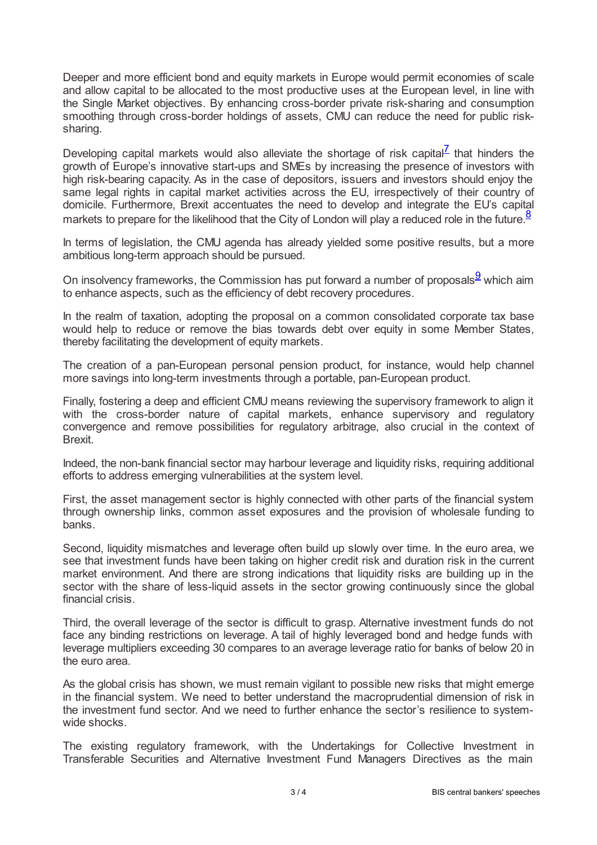Deeper and more efficient bond and equity markets in Europe would permit economies of scale and allow capital to be allocated to the most productive uses at the European level, in line with the Single Market objectives. By enhancing cross-border private risk-sharing and consumption smoothing through cross-border holdings of assets, CMU can reduce the need for public risksharing.

<span id="page-2-0"></span>Developing capital markets would also alleviate the shortage of risk capital<sup>Z</sup> that hinders the growth of Europe's innovative start-ups and SMEs by increasing the presence of investors with high risk-bearing capacity. As in the case of depositors, issuers and investors should enjoy the same legal rights in capital market activities across the EU, irrespectively of their country of domicile. Furthermore, Brexit accentuates the need to develop and integrate the EU's capital markets to prepare for the likelihood that the City of London will play a reduced role in the future.<sup>[8](#page-3-7)</sup>

<span id="page-2-1"></span>In terms of legislation, the CMU agenda has already yielded some positive results, but a more ambitious long-term approach should be pursued.

<span id="page-2-2"></span>On insolvency frameworks, the Commission has put forward a number of proposals $\frac{9}{5}$  $\frac{9}{5}$  $\frac{9}{5}$  which aim to enhance aspects, such as the efficiency of debt recovery procedures.

In the realm of taxation, adopting the proposal on a common consolidated corporate tax base would help to reduce or remove the bias towards debt over equity in some Member States, thereby facilitating the development of equity markets.

The creation of a pan-European personal pension product, for instance, would help channel more savings into long-term investments through a portable, pan-European product.

Finally, fostering a deep and efficient CMU means reviewing the supervisory framework to align it with the cross-border nature of capital markets, enhance supervisory and regulatory convergence and remove possibilities for regulatory arbitrage, also crucial in the context of Brexit.

Indeed, the non-bank financial sector may harbour leverage and liquidity risks, requiring additional efforts to address emerging vulnerabilities at the system level.

First, the asset management sector is highly connected with other parts of the financial system through ownership links, common asset exposures and the provision of wholesale funding to banks.

Second, liquidity mismatches and leverage often build up slowly over time. In the euro area, we see that investment funds have been taking on higher credit risk and duration risk in the current market environment. And there are strong indications that liquidity risks are building up in the sector with the share of less-liquid assets in the sector growing continuously since the global financial crisis.

Third, the overall leverage of the sector is difficult to grasp. Alternative investment funds do not face any binding restrictions on leverage. A tail of highly leveraged bond and hedge funds with leverage multipliers exceeding 30 compares to an average leverage ratio for banks of below 20 in the euro area.

As the global crisis has shown, we must remain vigilant to possible new risks that might emerge in the financial system. We need to better understand the macroprudential dimension of risk in the investment fund sector. And we need to further enhance the sector's resilience to systemwide shocks.

The existing regulatory framework, with the Undertakings for Collective Investment in Transferable Securities and Alternative Investment Fund Managers Directives as the main